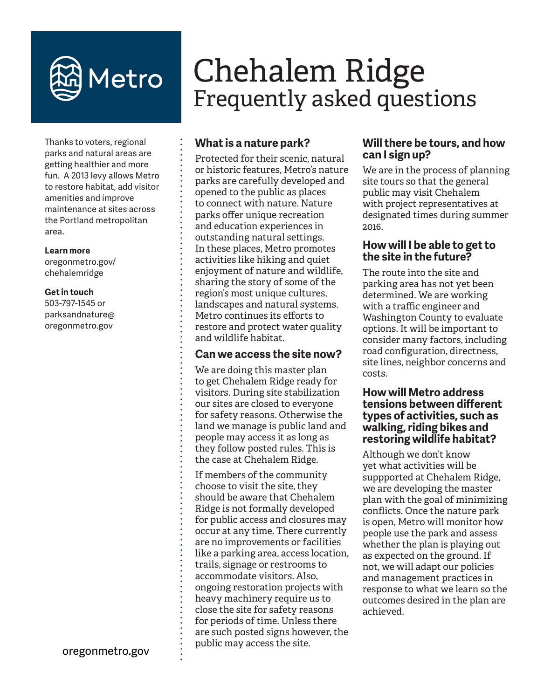

# Chehalem Ridge Frequently asked questions

Thanks to voters, regional parks and natural areas are getting healthier and more fun. A 2013 levy allows Metro to restore habitat, add visitor amenities and improve maintenance at sites across the Portland metropolitan area.

#### **Learn more**

oregonmetro.gov/ chehalemridge

#### **Get in touch**

503-797-1545 or parksandnature@ oregonmetro.gov

## **What is a nature park?**

Protected for their scenic, natural or historic features, Metro's nature parks are carefully developed and opened to the public as places to connect with nature. Nature parks offer unique recreation and education experiences in outstanding natural settings. In these places, Metro promotes activities like hiking and quiet enjoyment of nature and wildlife, sharing the story of some of the region's most unique cultures, landscapes and natural systems. Metro continues its efforts to restore and protect water quality and wildlife habitat.

## **Can we access the site now?**

We are doing this master plan to get Chehalem Ridge ready for visitors. During site stabilization our sites are closed to everyone for safety reasons. Otherwise the land we manage is public land and people may access it as long as they follow posted rules. This is the case at Chehalem Ridge.

If members of the community choose to visit the site, they should be aware that Chehalem Ridge is not formally developed for public access and closures may occur at any time. There currently are no improvements or facilities like a parking area, access location, trails, signage or restrooms to accommodate visitors. Also, ongoing restoration projects with heavy machinery require us to close the site for safety reasons for periods of time. Unless there are such posted signs however, the public may access the site.

## **Will there be tours, and how can I sign up?**

We are in the process of planning site tours so that the general public may visit Chehalem with project representatives at designated times during summer 2016.

## **How will I be able to get to the site in the future?**

The route into the site and parking area has not yet been determined. We are working with a traffic engineer and Washington County to evaluate options. It will be important to consider many factors, including road configuration, directness, site lines, neighbor concerns and costs.

#### **How will Metro address tensions between different types of activities, such as walking, riding bikes and restoring wildlife habitat?**

Although we don't know yet what activities will be suppported at Chehalem Ridge, we are developing the master plan with the goal of minimizing conflicts. Once the nature park is open, Metro will monitor how people use the park and assess whether the plan is playing out as expected on the ground. If not, we will adapt our policies and management practices in response to what we learn so the outcomes desired in the plan are achieved.